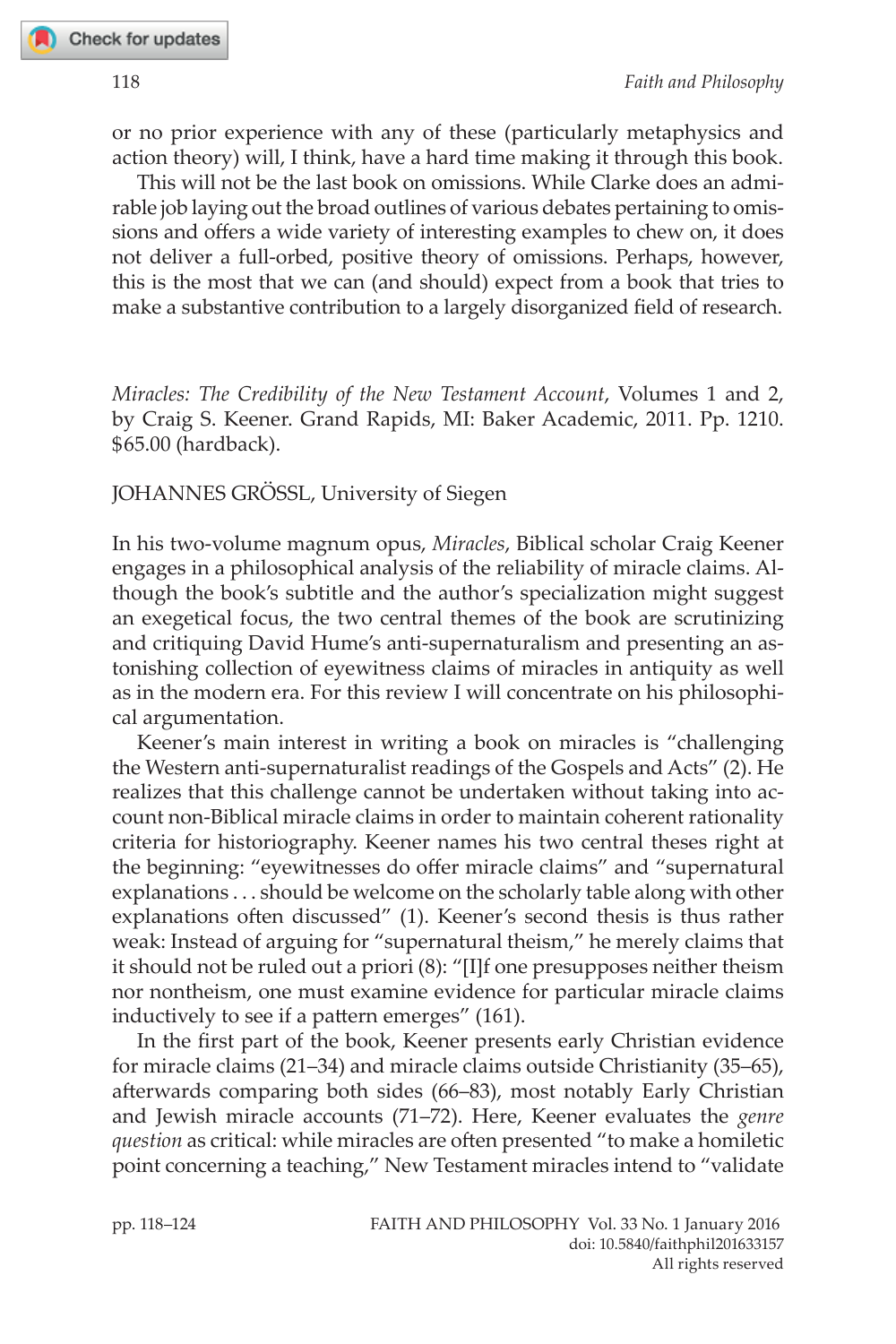## 118 *Faith and Philosophy*

or no prior experience with any of these (particularly metaphysics and action theory) will, I think, have a hard time making it through this book.

This will not be the last book on omissions. While Clarke does an admirable job laying out the broad outlines of various debates pertaining to omissions and offers a wide variety of interesting examples to chew on, it does not deliver a full-orbed, positive theory of omissions. Perhaps, however, this is the most that we can (and should) expect from a book that tries to make a substantive contribution to a largely disorganized field of research.

*Miracles: The Credibility of the New Testament Account*, Volumes 1 and 2, by Craig S. Keener. Grand Rapids, MI: Baker Academic, 2011. Pp. 1210. \$ 65.00 (hardback).

JOHANNES GRÖSSL, University of Siegen

In his two-volume magnum opus, *Miracles*, Biblical scholar Craig Keener engages in a philosophical analysis of the reliability of miracle claims. Although the book's subtitle and the author's specialization might suggest an exegetical focus, the two central themes of the book are scrutinizing and critiquing David Hume's anti-supernaturalism and presenting an astonishing collection of eyewitness claims of miracles in antiquity as well as in the modern era. For this review I will concentrate on his philosophical argumentation.

Keener's main interest in writing a book on miracles is "challenging the Western anti-supernaturalist readings of the Gospels and Acts" (2). He realizes that this challenge cannot be undertaken without taking into account non-Biblical miracle claims in order to maintain coherent rationality criteria for historiography. Keener names his two central theses right at the beginning: "eyewitnesses do offer miracle claims" and "supernatural explanations . . . should be welcome on the scholarly table along with other explanations often discussed" (1). Keener's second thesis is thus rather weak: Instead of arguing for "supernatural theism," he merely claims that it should not be ruled out a priori (8): "[I]f one presupposes neither theism nor nontheism, one must examine evidence for particular miracle claims inductively to see if a pattern emerges" (161).

In the first part of the book, Keener presents early Christian evidence for miracle claims (21–34) and miracle claims outside Christianity (35–65), afterwards comparing both sides (66–83), most notably Early Christian and Jewish miracle accounts (71–72). Here, Keener evaluates the *genre question* as critical: while miracles are often presented "to make a homiletic point concerning a teaching," New Testament miracles intend to "validate

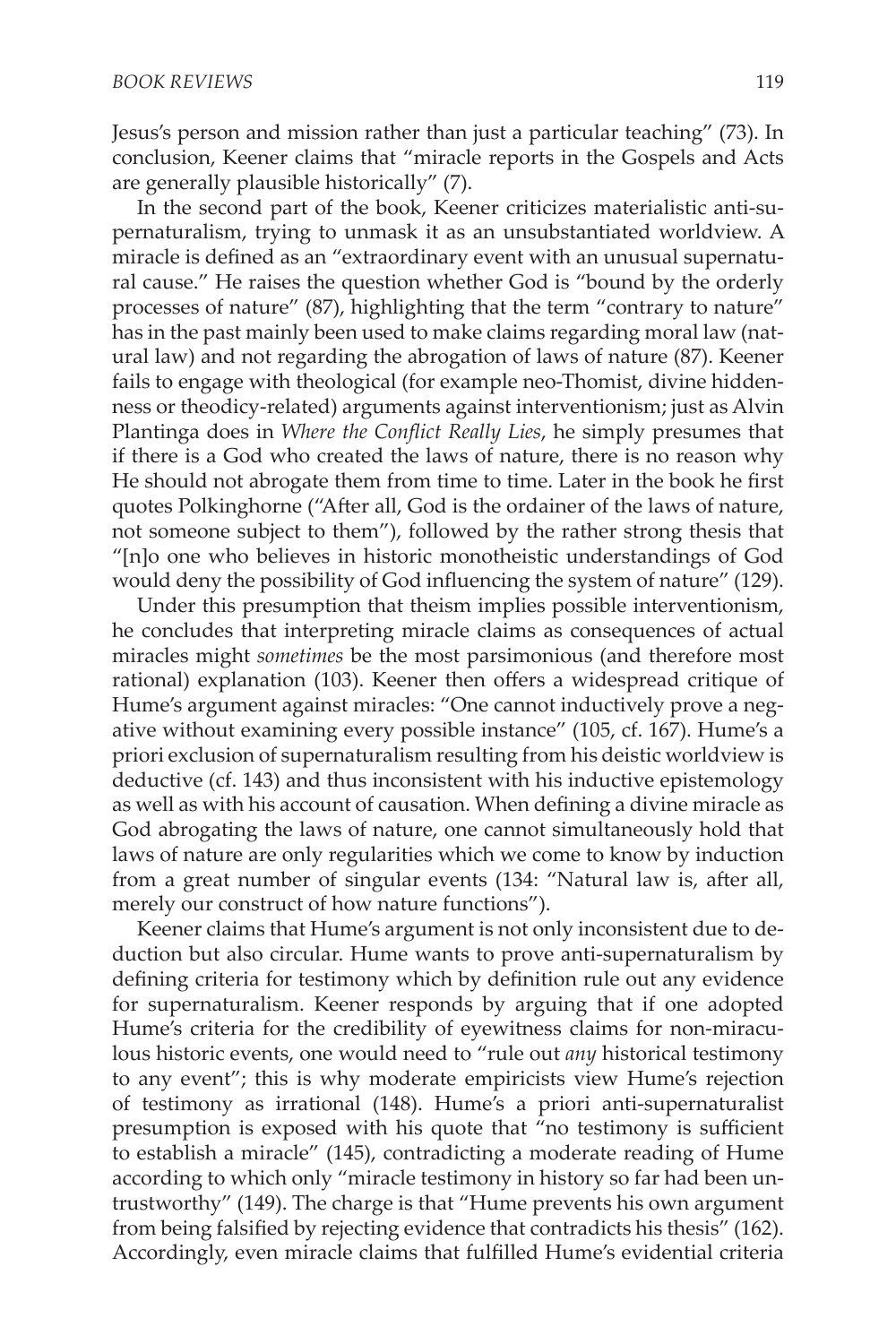Jesus's person and mission rather than just a particular teaching" (73). In conclusion, Keener claims that "miracle reports in the Gospels and Acts are generally plausible historically" (7).

In the second part of the book, Keener criticizes materialistic anti-supernaturalism, trying to unmask it as an unsubstantiated worldview. A miracle is defined as an "extraordinary event with an unusual supernatural cause." He raises the question whether God is "bound by the orderly processes of nature" (87), highlighting that the term "contrary to nature" has in the past mainly been used to make claims regarding moral law (natural law) and not regarding the abrogation of laws of nature (87). Keener fails to engage with theological (for example neo-Thomist, divine hiddenness or theodicy-related) arguments against interventionism; just as Alvin Plantinga does in *Where the Conflict Really Lies*, he simply presumes that if there is a God who created the laws of nature, there is no reason why He should not abrogate them from time to time. Later in the book he first quotes Polkinghorne ("After all, God is the ordainer of the laws of nature, not someone subject to them"), followed by the rather strong thesis that "[n]o one who believes in historic monotheistic understandings of God would deny the possibility of God influencing the system of nature" (129).

Under this presumption that theism implies possible interventionism, he concludes that interpreting miracle claims as consequences of actual miracles might *sometimes* be the most parsimonious (and therefore most rational) explanation (103). Keener then offers a widespread critique of Hume's argument against miracles: "One cannot inductively prove a negative without examining every possible instance" (105, cf. 167). Hume's a priori exclusion of supernaturalism resulting from his deistic worldview is deductive (cf. 143) and thus inconsistent with his inductive epistemology as well as with his account of causation. When defining a divine miracle as God abrogating the laws of nature, one cannot simultaneously hold that laws of nature are only regularities which we come to know by induction from a great number of singular events (134: "Natural law is, after all, merely our construct of how nature functions").

Keener claims that Hume's argument is not only inconsistent due to deduction but also circular. Hume wants to prove anti-supernaturalism by defining criteria for testimony which by definition rule out any evidence for supernaturalism. Keener responds by arguing that if one adopted Hume's criteria for the credibility of eyewitness claims for non-miraculous historic events, one would need to "rule out *any* historical testimony to any event"; this is why moderate empiricists view Hume's rejection of testimony as irrational (148). Hume's a priori anti-supernaturalist presumption is exposed with his quote that "no testimony is sufficient to establish a miracle" (145), contradicting a moderate reading of Hume according to which only "miracle testimony in history so far had been untrustworthy" (149). The charge is that "Hume prevents his own argument from being falsified by rejecting evidence that contradicts his thesis" (162). Accordingly, even miracle claims that fulfilled Hume's evidential criteria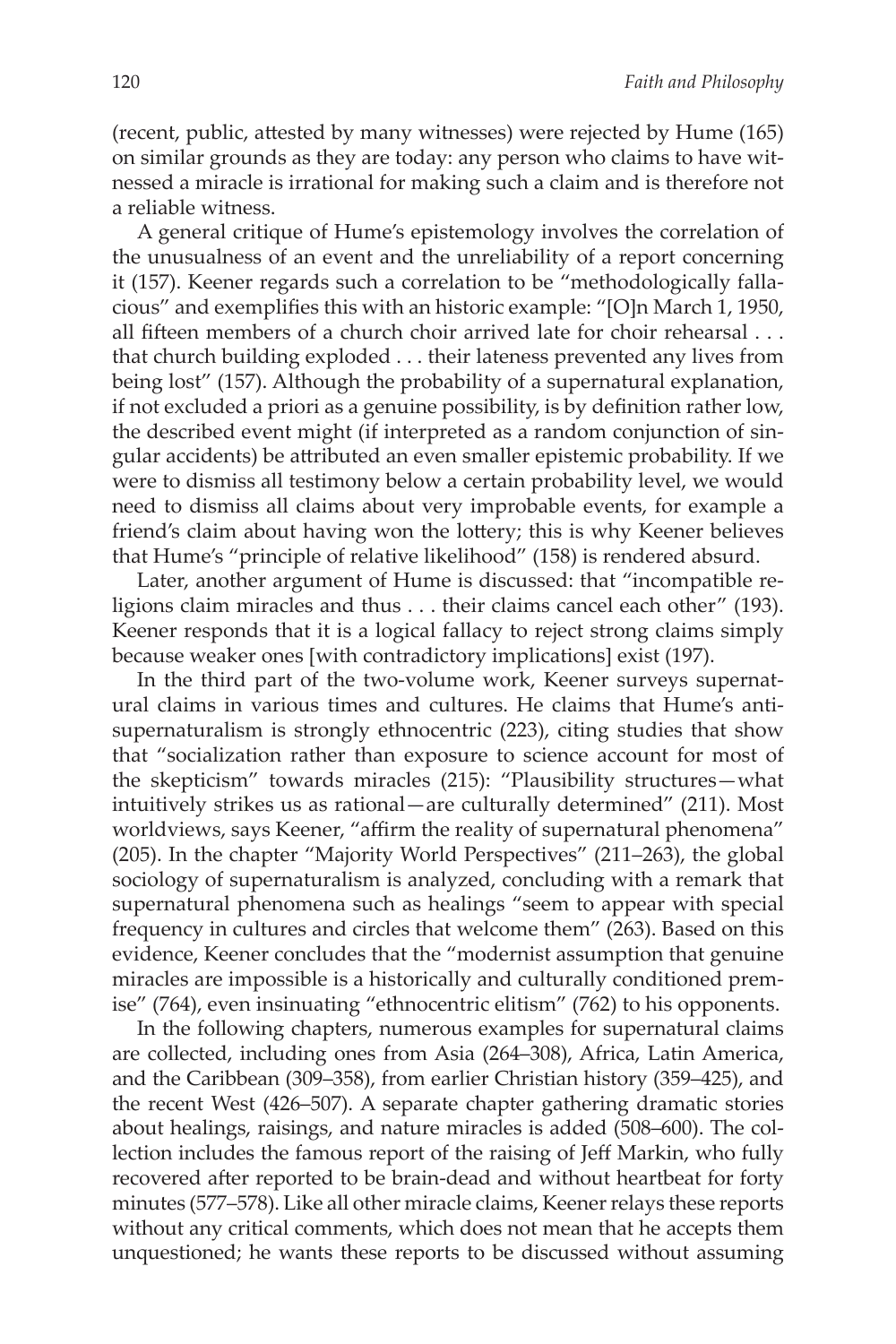(recent, public, attested by many witnesses) were rejected by Hume (165) on similar grounds as they are today: any person who claims to have witnessed a miracle is irrational for making such a claim and is therefore not a reliable witness.

A general critique of Hume's epistemology involves the correlation of the unusualness of an event and the unreliability of a report concerning it (157). Keener regards such a correlation to be "methodologically fallacious" and exemplifies this with an historic example: "[O]n March 1, 1950, all fifteen members of a church choir arrived late for choir rehearsal . . . that church building exploded . . . their lateness prevented any lives from being lost" (157). Although the probability of a supernatural explanation, if not excluded a priori as a genuine possibility, is by definition rather low, the described event might (if interpreted as a random conjunction of singular accidents) be attributed an even smaller epistemic probability. If we were to dismiss all testimony below a certain probability level, we would need to dismiss all claims about very improbable events, for example a friend's claim about having won the lottery; this is why Keener believes that Hume's "principle of relative likelihood" (158) is rendered absurd.

Later, another argument of Hume is discussed: that "incompatible religions claim miracles and thus . . . their claims cancel each other" (193). Keener responds that it is a logical fallacy to reject strong claims simply because weaker ones [with contradictory implications] exist (197).

In the third part of the two-volume work, Keener surveys supernatural claims in various times and cultures. He claims that Hume's antisupernaturalism is strongly ethnocentric (223), citing studies that show that "socialization rather than exposure to science account for most of the skepticism" towards miracles (215): "Plausibility structures—what intuitively strikes us as rational—are culturally determined" (211). Most worldviews, says Keener, "affirm the reality of supernatural phenomena" (205). In the chapter "Majority World Perspectives" (211–263), the global sociology of supernaturalism is analyzed, concluding with a remark that supernatural phenomena such as healings "seem to appear with special frequency in cultures and circles that welcome them" (263). Based on this evidence, Keener concludes that the "modernist assumption that genuine miracles are impossible is a historically and culturally conditioned premise" (764), even insinuating "ethnocentric elitism" (762) to his opponents.

In the following chapters, numerous examples for supernatural claims are collected, including ones from Asia (264–308), Africa, Latin America, and the Caribbean (309–358), from earlier Christian history (359–425), and the recent West (426–507). A separate chapter gathering dramatic stories about healings, raisings, and nature miracles is added (508–600). The collection includes the famous report of the raising of Jeff Markin, who fully recovered after reported to be brain-dead and without heartbeat for forty minutes (577–578). Like all other miracle claims, Keener relays these reports without any critical comments, which does not mean that he accepts them unquestioned; he wants these reports to be discussed without assuming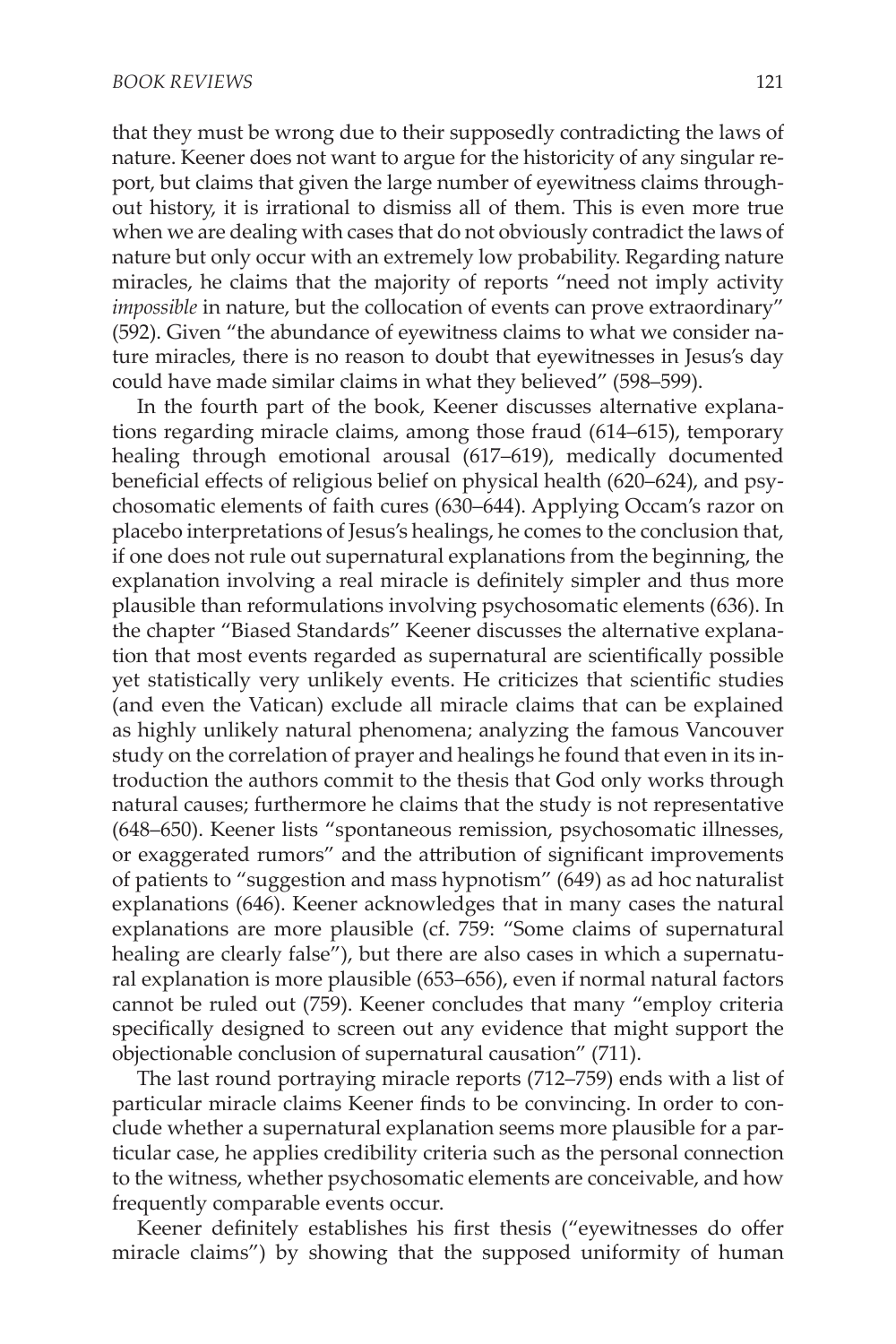that they must be wrong due to their supposedly contradicting the laws of nature. Keener does not want to argue for the historicity of any singular report, but claims that given the large number of eyewitness claims throughout history, it is irrational to dismiss all of them. This is even more true when we are dealing with cases that do not obviously contradict the laws of nature but only occur with an extremely low probability. Regarding nature miracles, he claims that the majority of reports "need not imply activity *impossible* in nature, but the collocation of events can prove extraordinary" (592). Given "the abundance of eyewitness claims to what we consider nature miracles, there is no reason to doubt that eyewitnesses in Jesus's day could have made similar claims in what they believed" (598–599).

In the fourth part of the book, Keener discusses alternative explanations regarding miracle claims, among those fraud (614–615), temporary healing through emotional arousal (617–619), medically documented beneficial effects of religious belief on physical health (620–624), and psychosomatic elements of faith cures (630–644). Applying Occam's razor on placebo interpretations of Jesus's healings, he comes to the conclusion that, if one does not rule out supernatural explanations from the beginning, the explanation involving a real miracle is definitely simpler and thus more plausible than reformulations involving psychosomatic elements (636). In the chapter "Biased Standards" Keener discusses the alternative explanation that most events regarded as supernatural are scientifically possible yet statistically very unlikely events. He criticizes that scientific studies (and even the Vatican) exclude all miracle claims that can be explained as highly unlikely natural phenomena; analyzing the famous Vancouver study on the correlation of prayer and healings he found that even in its introduction the authors commit to the thesis that God only works through natural causes; furthermore he claims that the study is not representative (648–650). Keener lists "spontaneous remission, psychosomatic illnesses, or exaggerated rumors" and the attribution of significant improvements of patients to "suggestion and mass hypnotism" (649) as ad hoc naturalist explanations (646). Keener acknowledges that in many cases the natural explanations are more plausible (cf. 759: "Some claims of supernatural healing are clearly false"), but there are also cases in which a supernatural explanation is more plausible (653–656), even if normal natural factors cannot be ruled out (759). Keener concludes that many "employ criteria specifically designed to screen out any evidence that might support the objectionable conclusion of supernatural causation" (711).

The last round portraying miracle reports (712–759) ends with a list of particular miracle claims Keener finds to be convincing. In order to conclude whether a supernatural explanation seems more plausible for a particular case, he applies credibility criteria such as the personal connection to the witness, whether psychosomatic elements are conceivable, and how frequently comparable events occur.

Keener definitely establishes his first thesis ("eyewitnesses do offer miracle claims") by showing that the supposed uniformity of human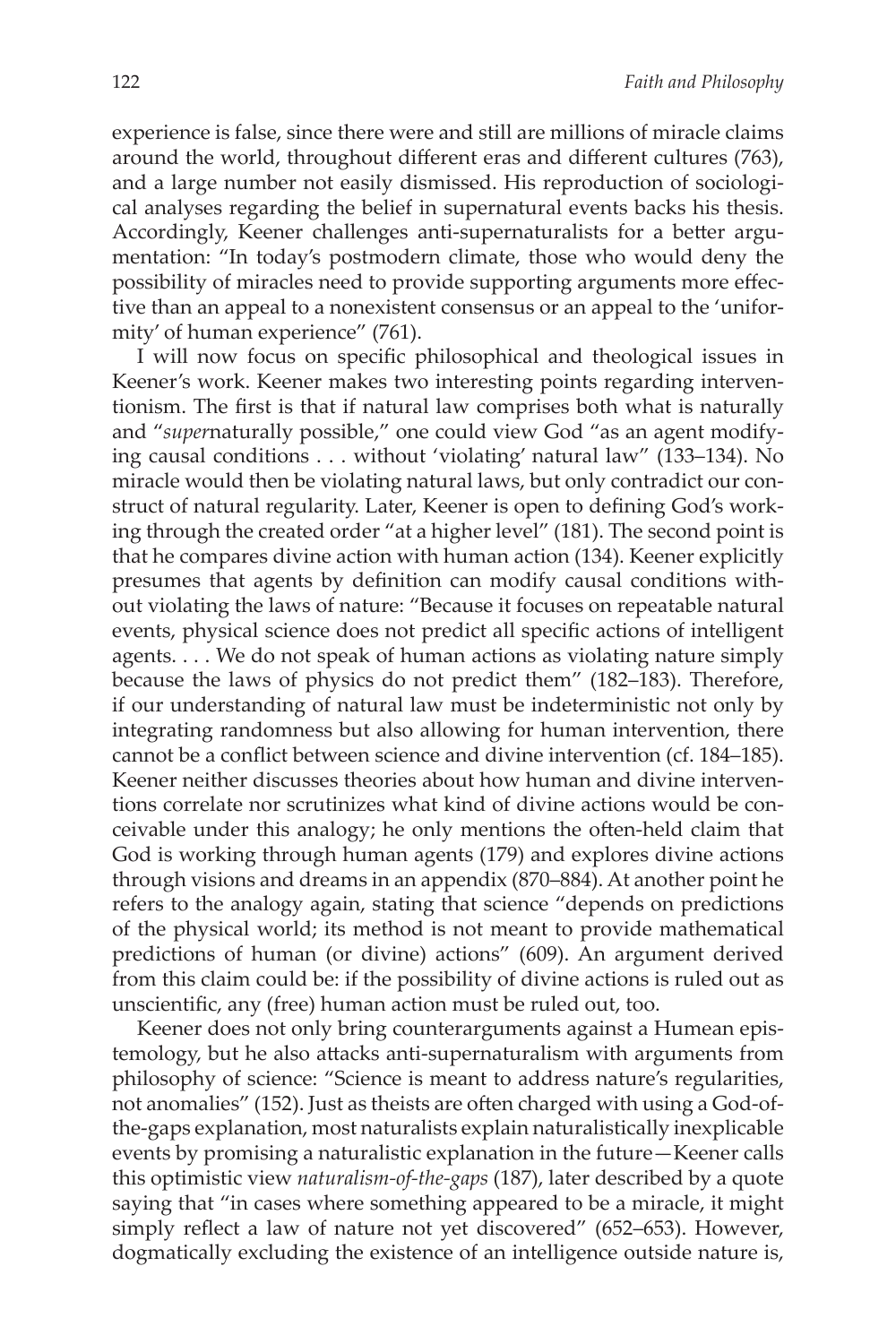experience is false, since there were and still are millions of miracle claims around the world, throughout different eras and different cultures (763), and a large number not easily dismissed. His reproduction of sociological analyses regarding the belief in supernatural events backs his thesis. Accordingly, Keener challenges anti-supernaturalists for a better argumentation: "In today's postmodern climate, those who would deny the possibility of miracles need to provide supporting arguments more effective than an appeal to a nonexistent consensus or an appeal to the 'uniformity' of human experience" (761).

I will now focus on specific philosophical and theological issues in Keener's work. Keener makes two interesting points regarding interventionism. The first is that if natural law comprises both what is naturally and "*super*naturally possible," one could view God "as an agent modifying causal conditions . . . without 'violating' natural law" (133–134). No miracle would then be violating natural laws, but only contradict our construct of natural regularity. Later, Keener is open to defining God's working through the created order "at a higher level" (181). The second point is that he compares divine action with human action (134). Keener explicitly presumes that agents by definition can modify causal conditions without violating the laws of nature: "Because it focuses on repeatable natural events, physical science does not predict all specific actions of intelligent agents. . . . We do not speak of human actions as violating nature simply because the laws of physics do not predict them" (182–183). Therefore, if our understanding of natural law must be indeterministic not only by integrating randomness but also allowing for human intervention, there cannot be a conflict between science and divine intervention (cf. 184–185). Keener neither discusses theories about how human and divine interventions correlate nor scrutinizes what kind of divine actions would be conceivable under this analogy; he only mentions the often-held claim that God is working through human agents (179) and explores divine actions through visions and dreams in an appendix (870–884). At another point he refers to the analogy again, stating that science "depends on predictions of the physical world; its method is not meant to provide mathematical predictions of human (or divine) actions" (609). An argument derived from this claim could be: if the possibility of divine actions is ruled out as unscientific, any (free) human action must be ruled out, too.

Keener does not only bring counterarguments against a Humean epistemology, but he also attacks anti-supernaturalism with arguments from philosophy of science: "Science is meant to address nature's regularities, not anomalies" (152). Just as theists are often charged with using a God-ofthe-gaps explanation, most naturalists explain naturalistically inexplicable events by promising a naturalistic explanation in the future—Keener calls this optimistic view *naturalism-of-the-gaps* (187), later described by a quote saying that "in cases where something appeared to be a miracle, it might simply reflect a law of nature not yet discovered" (652–653). However, dogmatically excluding the existence of an intelligence outside nature is,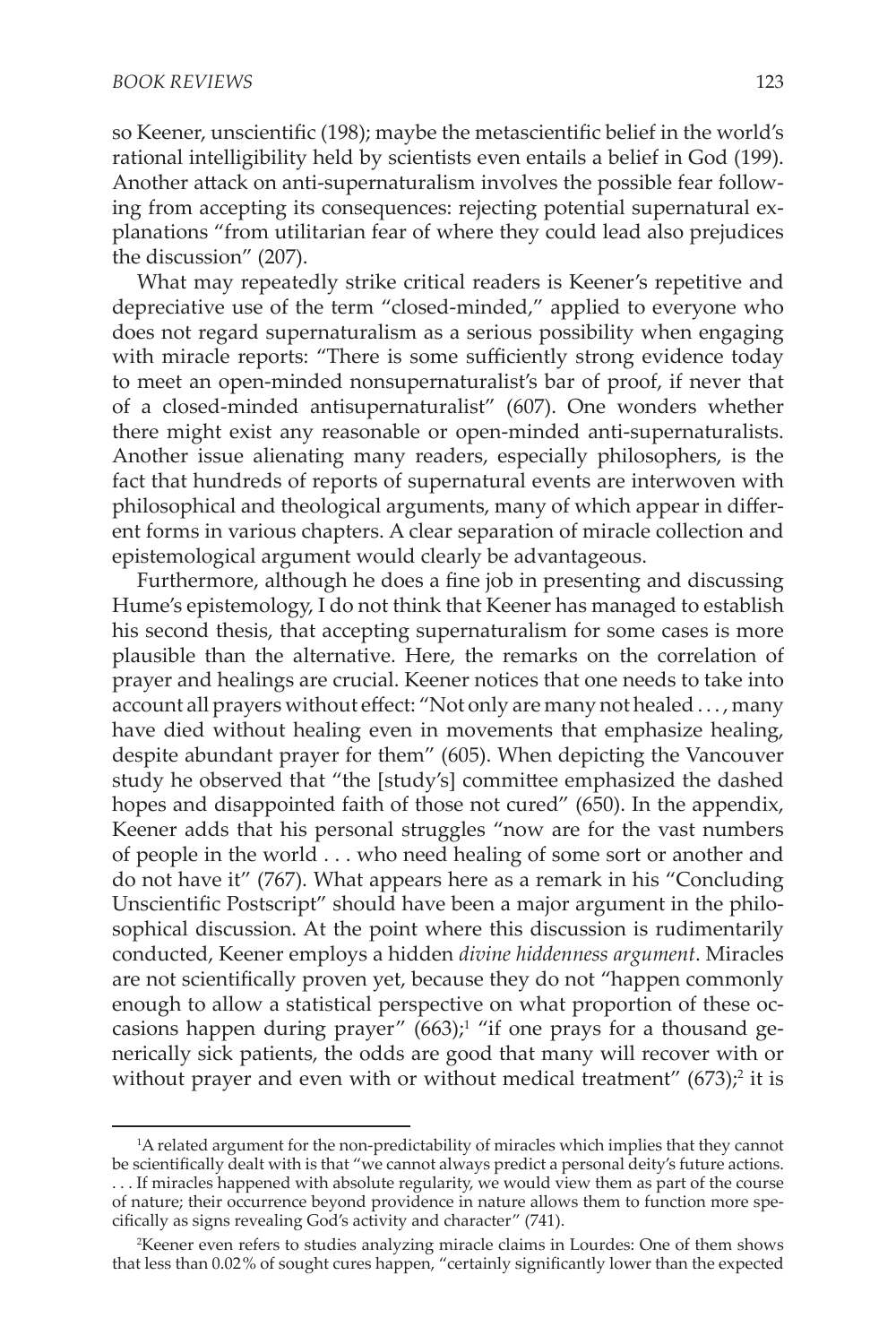so Keener, unscientific (198); maybe the metascientific belief in the world's rational intelligibility held by scientists even entails a belief in God (199). Another attack on anti-supernaturalism involves the possible fear following from accepting its consequences: rejecting potential supernatural explanations "from utilitarian fear of where they could lead also prejudices the discussion" (207).

What may repeatedly strike critical readers is Keener's repetitive and depreciative use of the term "closed-minded," applied to everyone who does not regard supernaturalism as a serious possibility when engaging with miracle reports: "There is some sufficiently strong evidence today to meet an open-minded nonsupernaturalist's bar of proof, if never that of a closed-minded antisupernaturalist" (607). One wonders whether there might exist any reasonable or open-minded anti-supernaturalists. Another issue alienating many readers, especially philosophers, is the fact that hundreds of reports of supernatural events are interwoven with philosophical and theological arguments, many of which appear in different forms in various chapters. A clear separation of miracle collection and epistemological argument would clearly be advantageous.

Furthermore, although he does a fine job in presenting and discussing Hume's epistemology, I do not think that Keener has managed to establish his second thesis, that accepting supernaturalism for some cases is more plausible than the alternative. Here, the remarks on the correlation of prayer and healings are crucial. Keener notices that one needs to take into account all prayers without effect: "Not only are many not healed . . . , many have died without healing even in movements that emphasize healing, despite abundant prayer for them" (605). When depicting the Vancouver study he observed that "the [study's] committee emphasized the dashed hopes and disappointed faith of those not cured" (650). In the appendix, Keener adds that his personal struggles "now are for the vast numbers of people in the world . . . who need healing of some sort or another and do not have it" (767). What appears here as a remark in his "Concluding Unscientific Postscript" should have been a major argument in the philosophical discussion. At the point where this discussion is rudimentarily conducted, Keener employs a hidden *divine hiddenness argument*. Miracles are not scientifically proven yet, because they do not "happen commonly enough to allow a statistical perspective on what proportion of these occasions happen during prayer" (663);<sup>1</sup> "if one prays for a thousand generically sick patients, the odds are good that many will recover with or without prayer and even with or without medical treatment"  $(673)<sup>2</sup>$  it is

<sup>1</sup> A related argument for the non-predictability of miracles which implies that they cannot be scientifically dealt with is that "we cannot always predict a personal deity's future actions. . . . If miracles happened with absolute regularity, we would view them as part of the course of nature; their occurrence beyond providence in nature allows them to function more specifically as signs revealing God's activity and character" (741).

<sup>2</sup> Keener even refers to studies analyzing miracle claims in Lourdes: One of them shows that less than 0.02 % of sought cures happen, "certainly significantly lower than the expected